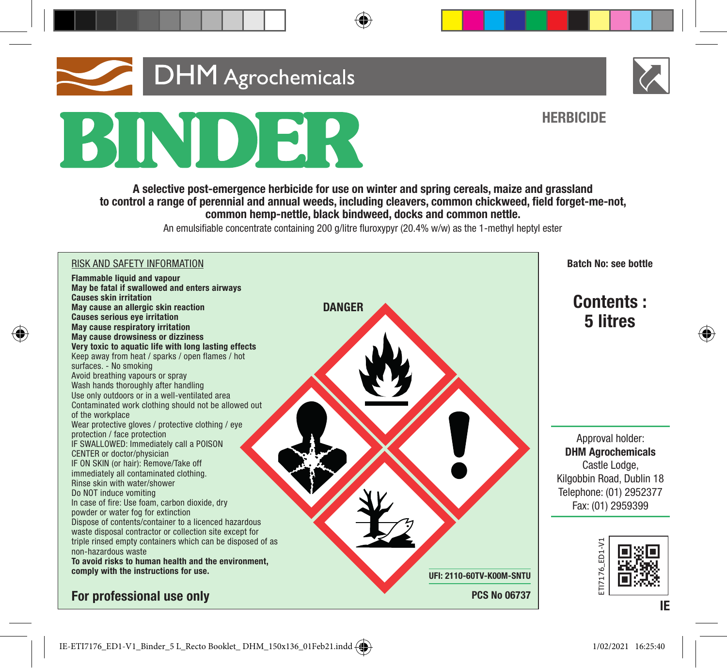# **DHM** Agrochemicals BINDER

A selective post-emergence herbicide for use on winter and spring cereals, maize and grassland to control a range of perennial and annual weeds, including cleavers, common chickweed, field forget-me-not, common hemp-nettle, black bindweed, docks and common nettle.

An emulsifiable concentrate containing 200 g/litre fluroxypyr (20.4% w/w) as the 1-methyl heptyl ester





**HERBICIDE**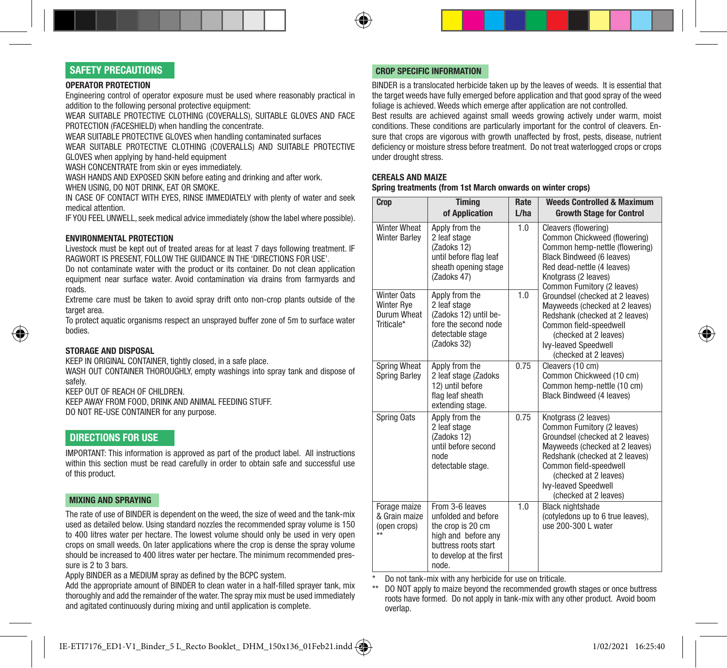# SAFETY PRECAUTIONS

#### OPERATOR PROTECTION

Engineering control of operator exposure must be used where reasonably practical in addition to the following personal protective equipment:

WEAR SUITABLE PROTECTIVE CLOTHING (COVERALLS), SUITABLE GLOVES AND FACE PROTECTION (FACESHIELD) when handling the concentrate.

WEAR SUITABLE PROTECTIVE GLOVES when handling contaminated surfaces

WEAR SUITABLE PROTECTIVE CLOTHING (COVERALLS) AND SUITABLE PROTECTIVE GLOVES when applying by hand-held equipment

WASH CONCENTRATE from skin or eyes immediately.

WASH HANDS AND EXPOSED SKIN before eating and drinking and after work. WHEN USING, DO NOT DRINK, EAT OR SMOKE.

IN CASE OF CONTACT WITH EYES, RINSE IMMEDIATELY with plenty of water and seek medical attention.

IF YOU FEEL UNWELL, seek medical advice immediately (show the label where possible).

# ENVIRONMENTAL PROTECTION

Livestock must be kept out of treated areas for at least 7 days following treatment. IF RAGWORT IS PRESENT, FOLLOW THE GUIDANCE IN THE 'DIRECTIONS FOR USE'.

Do not contaminate water with the product or its container. Do not clean application equipment near surface water. Avoid contamination via drains from farmyards and roads.

Extreme care must be taken to avoid spray drift onto non-crop plants outside of the target area.

To protect aquatic organisms respect an unsprayed buffer zone of 5m to surface water bodies.

# STORAGE AND DISPOSAL

KEEP IN ORIGINAL CONTAINER, tightly closed, in a safe place.

WASH OUT CONTAINER THOROUGHLY, empty washings into spray tank and dispose of safely.

KEEP OUT OF REACH OF CHILDREN. KEEP AWAY FROM FOOD, DRINK AND ANIMAL FEEDING STUFF.

DO NOT RE-USE CONTAINER for any purpose.

# DIRECTIONS FOR USE

IMPORTANT: This information is approved as part of the product label. All instructions within this section must be read carefully in order to obtain safe and successful use of this product.

### MIXING AND SPRAYING

The rate of use of BINDER is dependent on the weed, the size of weed and the tank-mix used as detailed below. Using standard nozzles the recommended spray volume is 150 to 400 litres water per hectare. The lowest volume should only be used in very open crops on small weeds. On later applications where the crop is dense the spray volume should be increased to 400 litres water per hectare. The minimum recommended pressure is 2 to 3 bars.

Apply BINDER as a MEDIUM spray as defined by the BCPC system.

Add the appropriate amount of BINDER to clean water in a half-filled sprayer tank, mix thoroughly and add the remainder of the water. The spray mix must be used immediately and agitated continuously during mixing and until application is complete.

# CROP SPECIFIC INFORMATION

BINDER is a translocated herbicide taken up by the leaves of weeds. It is essential that the target weeds have fully emerged before application and that good spray of the weed foliage is achieved. Weeds which emerge after application are not controlled.

Best results are achieved against small weeds growing actively under warm, moist conditions. These conditions are particularly important for the control of cleavers. Ensure that crops are vigorous with growth unaffected by frost, pests, disease, nutrient deficiency or moisture stress before treatment. Do not treat waterlogged crops or crops under drought stress.

## CEREALS AND MAIZE

Spring treatments (from 1st March onwards on winter crops)

| Crop                                                          | <b>Timina</b><br>of Application                                                                                                                | Rate<br>L/ha | <b>Weeds Controlled &amp; Maximum</b><br><b>Growth Stage for Control</b>                                                                                                                                                                                      |
|---------------------------------------------------------------|------------------------------------------------------------------------------------------------------------------------------------------------|--------------|---------------------------------------------------------------------------------------------------------------------------------------------------------------------------------------------------------------------------------------------------------------|
| <b>Winter Wheat</b><br><b>Winter Barley</b>                   | Apply from the<br>2 leaf stage<br>(Zadoks 12)<br>until before flag leaf<br>sheath opening stage<br>(Zadoks 47)                                 | 1.0          | Cleavers (flowering)<br>Common Chickweed (flowering)<br>Common hemp-nettle (flowering)<br><b>Black Bindweed (6 leaves)</b><br>Red dead-nettle (4 leaves)<br>Knotarass (2 leaves)<br>Common Fumitory (2 leaves)                                                |
| Winter Oats<br>Winter Rye<br>Durum Wheat<br>Triticale*        | Apply from the<br>2 leaf stage<br>(Zadoks 12) until be-<br>fore the second node<br>detectable stage<br>(Zadoks 32)                             | 1.0          | Groundsel (checked at 2 leaves)<br>Mayweeds (checked at 2 leaves)<br>Redshank (checked at 2 leaves)<br>Common field-speedwell<br>(checked at 2 leaves)<br>Ivy-leaved Speedwell<br>(checked at 2 leaves)                                                       |
| <b>Spring Wheat</b><br>Spring Barley                          | Apply from the<br>2 leaf stage (Zadoks<br>12) until before<br>flag leaf sheath<br>extending stage.                                             | 0.75         | Cleavers (10 cm)<br>Common Chickweed (10 cm)<br>Common hemp-nettle (10 cm)<br><b>Black Bindweed (4 leaves)</b>                                                                                                                                                |
| Spring Oats                                                   | Apply from the<br>2 leaf stage<br>(Zadoks 12)<br>until before second<br>node<br>detectable stage.                                              | 0.75         | Knotgrass (2 leaves)<br>Common Fumitory (2 leaves)<br>Groundsel (checked at 2 leaves)<br>Mayweeds (checked at 2 leaves)<br>Redshank (checked at 2 leaves)<br>Common field-speedwell<br>(checked at 2 leaves)<br>Ivy-leaved Speedwell<br>(checked at 2 leaves) |
| Forage maize<br>& Grain maize<br>(open crops)<br>$\star\star$ | From 3-6 leaves<br>unfolded and before<br>the crop is 20 cm<br>high and before any<br>buttress roots start<br>to develop at the first<br>node. | 1.0          | <b>Black nightshade</b><br>(cotyledons up to 6 true leaves),<br>use 200-300 L water                                                                                                                                                                           |

\* Do not tank-mix with any herbicide for use on triticale.<br>\*\* DO NOT apply to maize heyond the recommended group

DO NOT apply to maize beyond the recommended growth stages or once buttress roots have formed. Do not apply in tank-mix with any other product. Avoid boom overlap.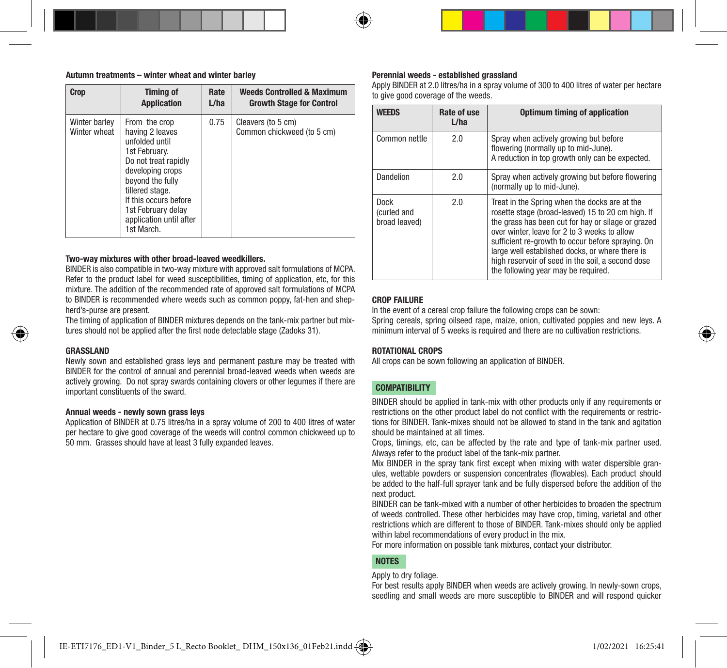#### Autumn treatments – winter wheat and winter barley

| <b>Crop</b>                   | <b>Timina of</b>                                                                                                                                                                                                                               | Rate | <b>Weeds Controlled &amp; Maximum</b>            |
|-------------------------------|------------------------------------------------------------------------------------------------------------------------------------------------------------------------------------------------------------------------------------------------|------|--------------------------------------------------|
|                               | <b>Application</b>                                                                                                                                                                                                                             | L/ha | <b>Growth Stage for Control</b>                  |
| Winter barley<br>Winter wheat | From the crop<br>having 2 leaves<br>unfolded until<br>1st February.<br>Do not treat rapidly<br>developing crops<br>beyond the fully<br>tillered stage.<br>If this occurs before<br>1st February delay<br>application until after<br>1st March. | 0.75 | Cleavers (to 5 cm)<br>Common chickweed (to 5 cm) |

#### Two-way mixtures with other broad-leaved weedkillers.

BINDER is also compatible in two-way mixture with approved salt formulations of MCPA. Refer to the product label for weed susceptibilities, timing of application, etc, for this mixture. The addition of the recommended rate of approved salt formulations of MCPA to BINDER is recommended where weeds such as common poppy, fat-hen and shepherd's-purse are present.

The timing of application of BINDER mixtures depends on the tank-mix partner but mixtures should not be applied after the first node detectable stage (Zadoks 31).

## GRASSLAND

Newly sown and established grass leys and permanent pasture may be treated with BINDER for the control of annual and perennial broad-leaved weeds when weeds are actively growing. Do not spray swards containing clovers or other legumes if there are important constituents of the sward.

#### Annual weeds - newly sown grass leys

Application of BINDER at 0.75 litres/ha in a spray volume of 200 to 400 litres of water per hectare to give good coverage of the weeds will control common chickweed up to 50 mm. Grasses should have at least 3 fully expanded leaves.

#### Perennial weeds - established grassland

Apply BINDER at 2.0 litres/ha in a spray volume of 300 to 400 litres of water per hectare to give good coverage of the weeds.

| <b>WEEDS</b>                         | Rate of use<br>L/ha | Optimum timing of application                                                                                                                                                                                                                                                                                                                                                                                |
|--------------------------------------|---------------------|--------------------------------------------------------------------------------------------------------------------------------------------------------------------------------------------------------------------------------------------------------------------------------------------------------------------------------------------------------------------------------------------------------------|
| Common nettle                        | 2.0                 | Spray when actively growing but before<br>flowering (normally up to mid-June).<br>A reduction in top growth only can be expected.                                                                                                                                                                                                                                                                            |
| Dandelion                            | 2.0                 | Spray when actively growing but before flowering<br>(normally up to mid-June).                                                                                                                                                                                                                                                                                                                               |
| Dock<br>(curled and<br>broad leaved) | 20                  | Treat in the Spring when the docks are at the<br>rosette stage (broad-leaved) 15 to 20 cm high. If<br>the grass has been cut for hay or silage or grazed<br>over winter, leave for 2 to 3 weeks to allow<br>sufficient re-growth to occur before spraying. On<br>large well established docks, or where there is<br>high reservoir of seed in the soil, a second dose<br>the following year may be required. |

# CROP FAILURE

In the event of a cereal crop failure the following crops can be sown: Spring cereals, spring oilseed rape, maize, onion, cultivated poppies and new leys. A minimum interval of 5 weeks is required and there are no cultivation restrictions.

## ROTATIONAL CROPS

All crops can be sown following an application of BINDER.

# **COMPATIBILITY**

BINDER should be applied in tank-mix with other products only if any requirements or restrictions on the other product label do not conflict with the requirements or restrictions for BINDER. Tank-mixes should not be allowed to stand in the tank and agitation should be maintained at all times.

Crops, timings, etc, can be affected by the rate and type of tank-mix partner used. Always refer to the product label of the tank-mix partner.

Mix BINDER in the spray tank first except when mixing with water dispersible granules, wettable powders or suspension concentrates (flowables). Each product should be added to the half-full sprayer tank and be fully dispersed before the addition of the next product.

BINDER can be tank-mixed with a number of other herbicides to broaden the spectrum of weeds controlled. These other herbicides may have crop, timing, varietal and other restrictions which are different to those of BINDER. Tank-mixes should only be applied within label recommendations of every product in the mix.

For more information on possible tank mixtures, contact your distributor.

# NOTES

#### Apply to dry foliage.

For best results apply BINDER when weeds are actively growing. In newly-sown crops, seedling and small weeds are more susceptible to BINDER and will respond quicker